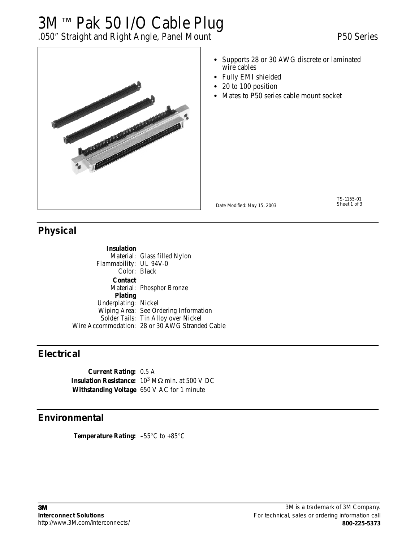# 3M™ Pak 50 I/O Cable Plug

## .050″ Straight and Right Angle, Panel Mount P50 Series



- Supports 28 or 30 AWG discrete or laminated wire cables
- Fully EMI shielded
- 20 to 100 position
- Mates to P50 series cable mount socket

Date Modified: May 15, 2003

TS-1155-01<br>Sheet 1 of 3

#### **Physical**

**Insulation** Material: Glass filled Nylon Flammability: UL 94V-0 Color: Black **Contact** Material: Phosphor Bronze **Plating** Underplating: Nickel Wiping Area: See Ordering Information Solder Tails: Tin Alloy over Nickel Wire Accommodation: 28 or 30 AWG Stranded Cable

#### **Electrical**

**Current Rating:** 0.5 A **Insulation Resistance:** 10<sup>3</sup> MΩ min. at 500 V DC **Withstanding Voltage** 650 V AC for 1 minute

### **Environmental**

**Temperature Rating:** -55°C to +85°C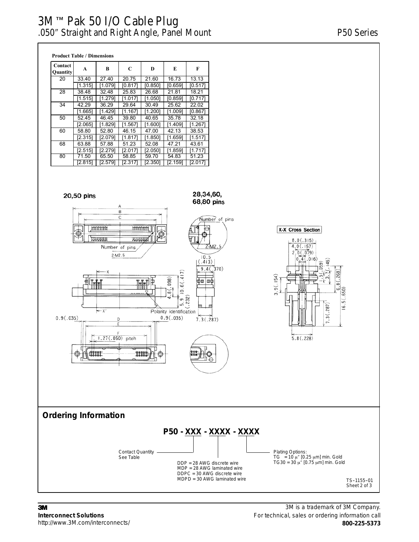### 3M™ Pak 50 I/O Cable Plug .050″ Straight and Right Angle, Panel Mount P50 Series

**Product Table / Dimensions**

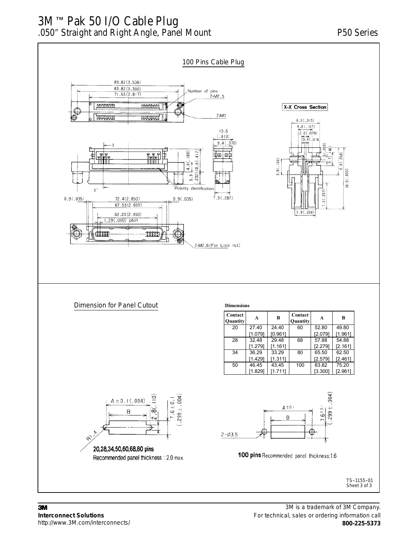### 3M™ Pak 50 I/O Cable Plug .050″ Straight and Right Angle, Panel Mount P50 Series



http://www.3M.com/interconnects/

3